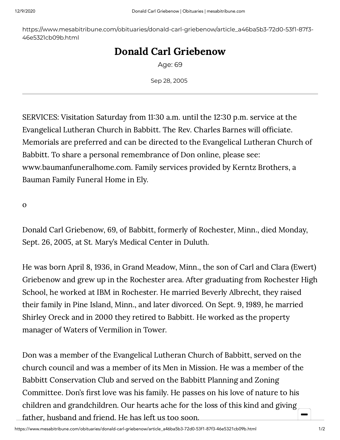https://www.mesabitribune.com/obituaries/donald-carl-griebenow/article\_a46ba5b3-72d0-53f1-87f3- 46e5321cb09b.html

## Donald Carl Griebenow

Age: 69

Sep 28, 2005

SERVICES: Visitation Saturday from 1130 a.m. until the 1230 p.m. service at the Evangelical Lutheran Church in Babbitt. The Rev. Charles Barnes will officiate. Memorials are preferred and can be directed to the Evangelical Lutheran Church of Babbitt. To share a personal remembrance of Don online, please see: [www.baumanfuneralhome.com.](http://www.baumanfuneralhome.com/) Family services provided by Kerntz Brothers, a Bauman Family Funeral Home in Ely.

o

Donald Carl Griebenow, 69, of Babbitt, formerly of Rochester, Minn., died Monday, Sept. 26, 2005, at St. Mary's Medical Center in Duluth.

He was born April 8, 1936, in Grand Meadow, Minn., the son of Carl and Clara (Ewert) Griebenow and grew up in the Rochester area. After graduating from Rochester High School, he worked at IBM in Rochester. He married Beverly Albrecht, they raised their family in Pine Island, Minn., and later divorced. On Sept. 9, 1989, he married Shirley Oreck and in 2000 they retired to Babbitt. He worked as the property manager of Waters of Vermilion in Tower.

Don was a member of the Evangelical Lutheran Church of Babbitt, served on the church council and was a member of its Men in Mission. He was a member of the Babbitt Conservation Club and served on the Babbitt Planning and Zoning Committee. Don's first love was his family. He passes on his love of nature to his children and grandchildren. Our hearts ache for the loss of this kind and giving  $\sim$ father, husband and friend. He has left us too soon.